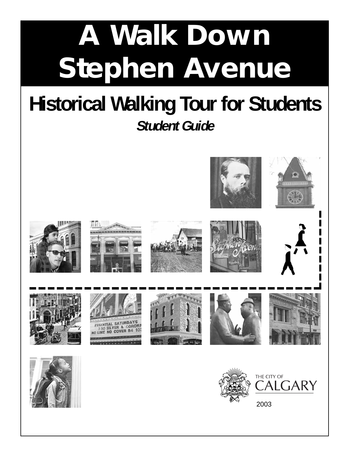# **A Walk Down Stephen Avenue**

# **Historical Walking Tour for Students Student Guide**



2003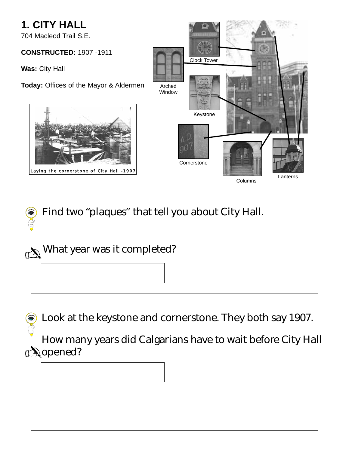#### **1. CITY HALL**

704 Macleod Trail S.E.

#### **CONSTRUCTED:** 1907 -1911

**Was:** City Hall

**Today:** Offices of the Mayor & Aldermen





Find two "plaques" that tell you about City Hall.



Look at the keystone and cornerstone. They both say 1907.

How many years did Calgarians have to wait before City Hall *<b>i*opened?

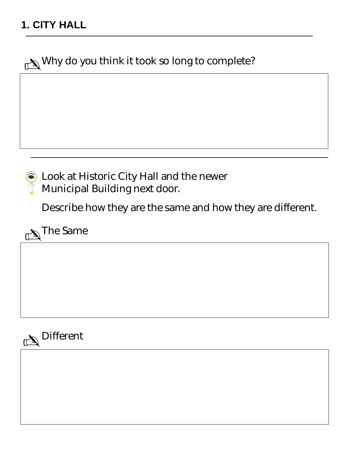Why do you think it took so long to complete?



Look at Historic City Hall and the newer Municipal Building next door.

Describe how they are the same and how they are different.

 $\mathbb{C}\backslash\hspace{-0.15cm}\backslash$  The Same

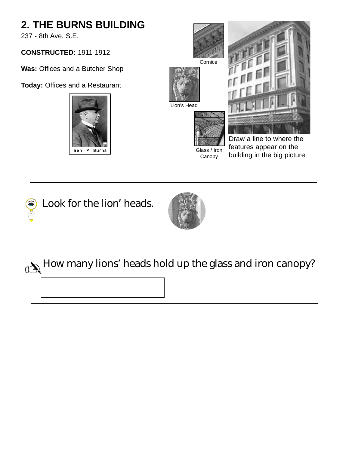## **2. THE BURNS BUILDING**

237 - 8th Ave. S.E.

#### **CONSTRUCTED:** 1911-1912

**Was:** Offices and a Butcher Shop

**Today:** Offices and a Restaurant









## How many lions' heads hold up the glass and iron canopy?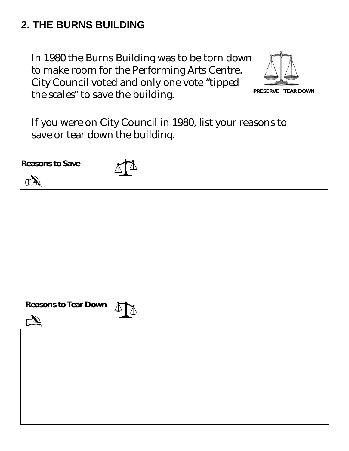#### **2. THE BURNS BUILDING**

In 1980 the Burns Building was to be torn down to make room for the Performing Arts Centre. City Council voted and only one vote *"tipped the scales"* to save the building. **PRESERVE TEAR DOWN**



If you were on City Council in 1980, list your reasons to save or tear down the building.

**Reasons to Save**

✍



**Reasons to Tear Down**

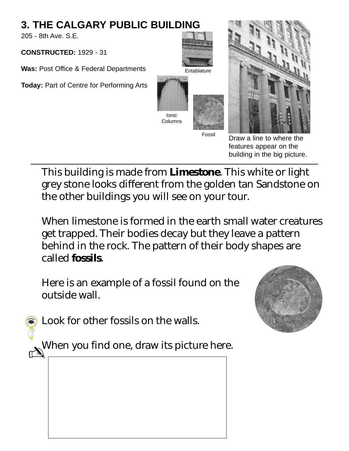## **3. THE CALGARY PUBLIC BUILDING**

205 - 8th Ave. S.E.

**CONSTRUCTED:** 1929 - 31

**Was:** Post Office & Federal Departments

**Today:** Part of Centre for Performing Arts





Draw a line to where the features appear on the building in the big picture.

This building is made from **Limestone**. This white or light grey stone looks different from the golden tan Sandstone on the other buildings you will see on your tour.

When limestone is formed in the earth small water creatures get trapped. Their bodies decay but they leave a pattern behind in the rock. The pattern of their body shapes are called **fossils**.

Here is an example of a fossil found on the outside wall.



Look for other fossils on the walls.

When you find one, draw its picture here.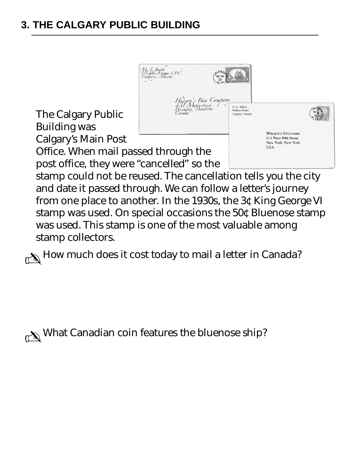## **3. THE CALGARY PUBLIC BUILDING**



stamp was used. On special occasions the 50¢ Bluenose stamp was used. This stamp is one of the most valuable among stamp collectors.

 $\sum_{n=1}^{\infty}$  How much does it cost today to mail a letter in Canada?

✍What Canadian coin features the bluenose ship?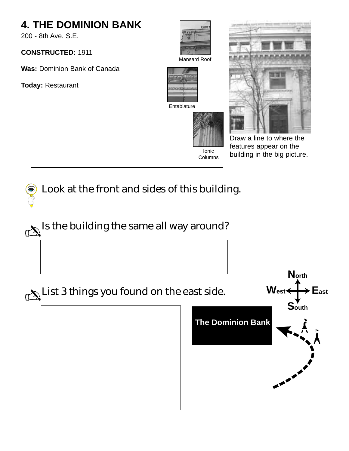## **4. THE DOMINION BANK**

200 - 8th Ave. S.E.

#### **CONSTRUCTED:** 1911

**Was:** Dominion Bank of Canada

**Today:** Restaurant





Ionic Columns



Entablature



Draw a line to where the features appear on the building in the big picture.



 $\mathbb{R}^{\mathbb{N}}$  Is the building the same all way around?

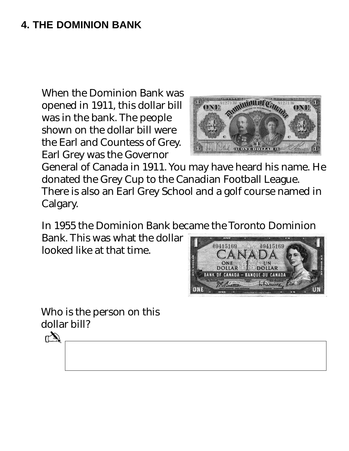#### **4. THE DOMINION BANK**

When the Dominion Bank was opened in 1911, this dollar bill was in the bank. The people shown on the dollar bill were the Earl and Countess of Grey. Earl Grey was the Governor



General of Canada in 1911. You may have heard his name. He donated the Grey Cup to the Canadian Football League. There is also an Earl Grey School and a golf course named in Calgary.

In 1955 the Dominion Bank became the Toronto Dominion

Bank. This was what the dollar looked like at that time.



Who is the person on this dollar bill?

 $\Lambda$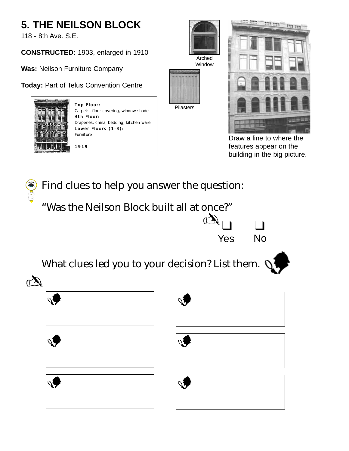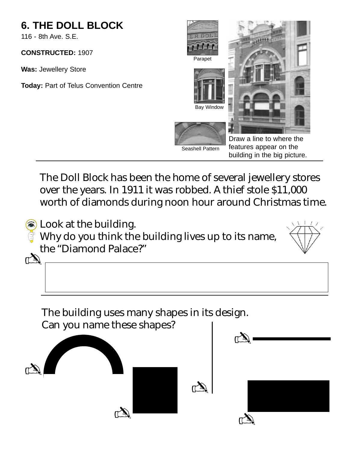## **6. THE DOLL BLOCK**

116 - 8th Ave. S.E.

**CONSTRUCTED:** 1907

**Was:** Jewellery Store

**Today:** Part of Telus Convention Centre



The Doll Block has been the home of several jewellery stores over the years. In 1911 it was robbed. A thief stole \$11,000 worth of diamonds during noon hour around Christmas time.



The building uses many shapes in its design. Can you name these shapes?

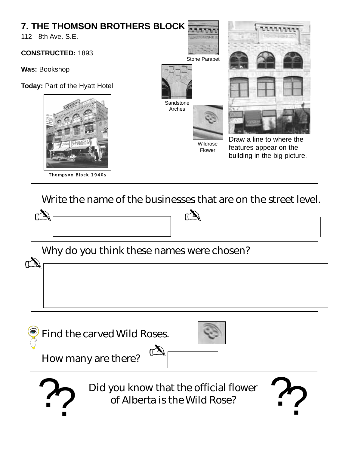#### **7. THE THOMSON BROTHERS BLOCK** 112 - 8th Ave. S.E. **CONSTRUCTED:** 1893 **Was:** Bookshop **Today:** Part of the Hyatt Hotel **Sandstone** Arches Stone Parapet Wildrose Flower Thompson Block 1940s Draw a line to where the features appear on the building in the big picture.

Write the name of the businesses that are on the street level.

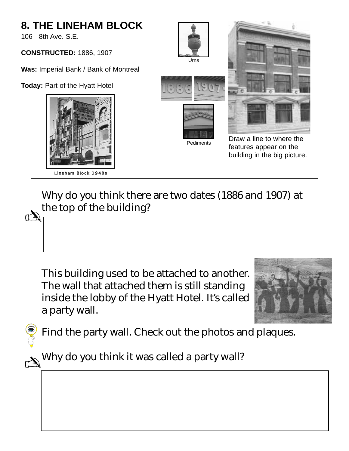## **8. THE LINEHAM BLOCK** 106 - 8th Ave. S.E. **CONSTRUCTED:** 1886, 1907 **Was:** Imperial Bank / Bank of Montreal **Today:** Part of the Hyatt Hotel Pediments Urns Lineham Block 1940s Draw a line to where the features appear on the building in the big picture.

Why do you think there are two dates (1886 and 1907) at the top of the building?

This building used to be attached to another. The wall that attached them is still standing inside the lobby of the Hyatt Hotel. It's called a party wall.



Find the party wall. Check out the photos and plaques.

Why do you think it was called a party wall?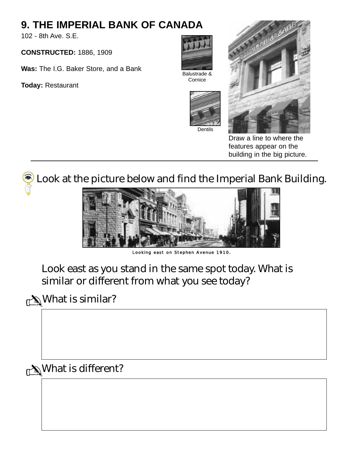#### **9. THE IMPERIAL BANK OF CANADA**

102 - 8th Ave. S.E.

**CONSTRUCTED:** 1886, 1909

**Was:** The I.G. Baker Store, and a Bank

**Today:** Restaurant



Balustrade & **Cornice** 





Draw a line to where the features appear on the building in the big picture.

Look at the picture below and find the Imperial Bank Building.



Looking east on Stephen Avenue 1910.

Look east as you stand in the same spot today. What is similar or different from what you see today?

 $\mathbb{C}\backslash\mathbb{C}$ What is similar?

 $\mathbb{N}$ What is different?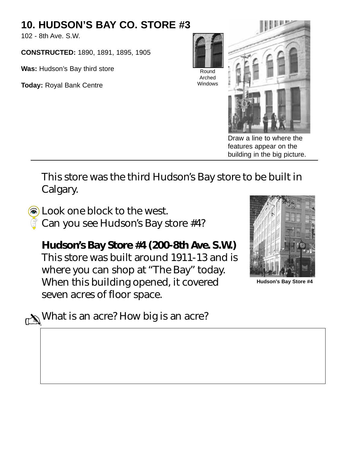#### **10. HUDSON'S BAY CO. STORE #3**

102 - 8th Ave. S.W.

**CONSTRUCTED:** 1890, 1891, 1895, 1905

**Was:** Hudson's Bay third store

**Today:** Royal Bank Centre



Arched **Windows** 



Draw a line to where the features appear on the building in the big picture.

This store was the third Hudson's Bay store to be built in Calgary.

Dook one block to the west.

 $\widehat{\vec{C}}$  Can you see Hudson's Bay store #4?

**Hudson's Bay Store #4 (200-8th Ave. S.W.)** This store was built around 1911-13 and is where you can shop at "The Bay" today. When this building opened, it covered seven acres of floor space.



**Hudson's Bay Store #4**

 $\mathbb{C}\backslash\mathbb{C}^3$  What is an acre? How big is an acre?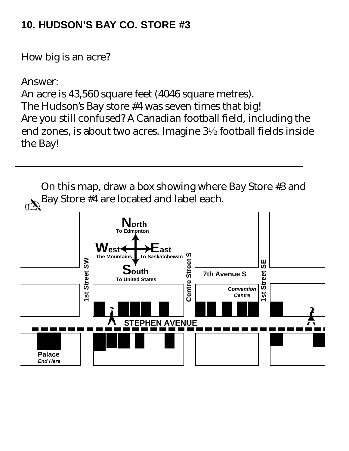#### **10. HUDSON'S BAY CO. STORE #3**

How big is an acre?

Answer:

An acre is 43,560 square feet (4046 square metres). The Hudson's Bay store #4 was seven times that big! Are you still confused? A Canadian football field, including the end zones, is about two acres. Imagine  $3\frac{1}{2}$  football fields inside the Bay!

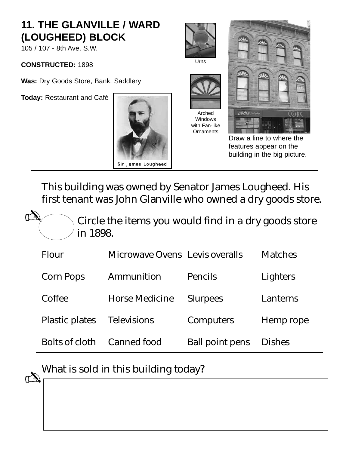#### **11. THE GLANVILLE / WARD (LOUGHEED) BLOCK**

105 / 107 - 8th Ave. S.W.

**CONSTRUCTED:** 1898

 $\mathbb{Z}$ 

**Was:** Dry Goods Store, Bank, Saddlery

**Today:** Restaurant and Café









Windows with Fan-like **Ornaments** 



Draw a line to where the features appear on the building in the big picture.

This building was owned by Senator James Lougheed. His first tenant was John Glanville who owned a dry goods store.

Circle the items you would find in a dry goods store in 1898.

| <b>Flour</b>          | Microwave Ovens Levis overalls |                        | <b>Matches</b> |
|-----------------------|--------------------------------|------------------------|----------------|
| <b>Corn Pops</b>      | Ammunition                     | <b>Pencils</b>         | Lighters       |
| Coffee                | <b>Horse Medicine</b>          | <b>Slurpees</b>        | Lanterns       |
| <b>Plastic plates</b> | <b>Televisions</b>             | <b>Computers</b>       | Hemp rope      |
| <b>Bolts of cloth</b> | <b>Canned food</b>             | <b>Ball point pens</b> | <b>Dishes</b>  |

What is sold in this building today?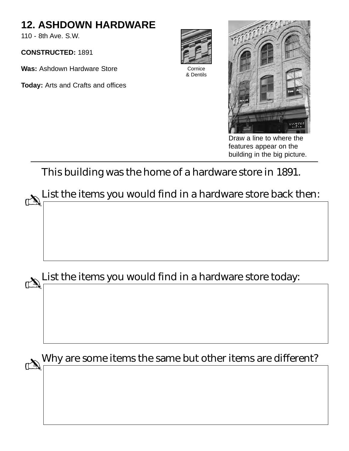#### **12. ASHDOWN HARDWARE**

110 - 8th Ave. S.W.

**CONSTRUCTED:** 1891

**Was:** Ashdown Hardware Store

**Today:** Arts and Crafts and offices



Cornice & Dentils



Draw a line to where the features appear on the building in the big picture.

This building was the home of a hardware store in 1891.

List the items you would find in a hardware store back then:  $\mathbb{Z}$ 

List the items you would find in a hardware store today:  $\mathbb{Z}$ 

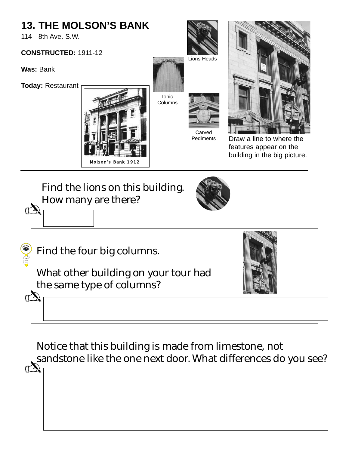## **13. THE MOLSON'S BANK**

114 - 8th Ave. S.W.

#### **CONSTRUCTED:** 1911-12

**Was:** Bank

**Today:** Restaurant





Ionic Columns

**Carved** 



raw a line to where the features appear on the building in the big picture.

#### Find the lions on this building. How many are there?  $\mathbb{Z}$





What other building on your tour had the same type of columns? ✍



Notice that this building is made from limestone, not sandstone like the one next door. What differences do you see?  $\mathbb{C}$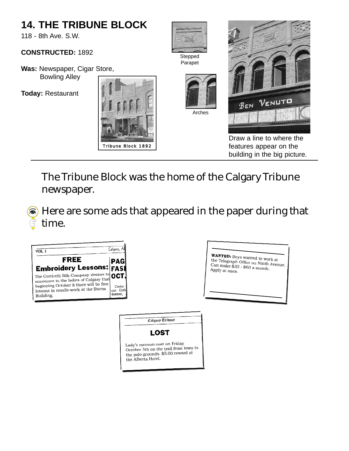#### **14. THE TRIBUNE BLOCK** 118 - 8th Ave. S.W. **CONSTRUCTED:** 1892 Stepped Parapet **Was:** Newspaper, Cigar Store, Bowling Alley **Today:** Restaurant  $V_{ENUT}$ BEN Arches Draw a line to where the features appear on the Tribune Block 1892 building in the big picture.

The Tribune Block was the home of the Calgary Tribune newspaper.

Here are some ads that appeared in the paper during that time.

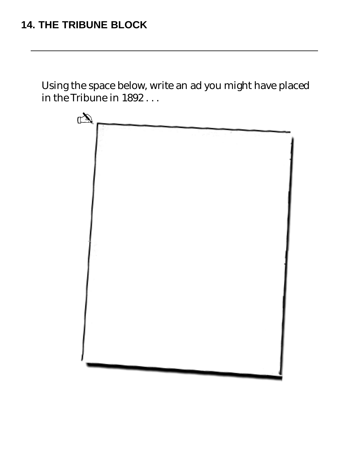#### **14. THE TRIBUNE BLOCK**

Using the space below, write an ad you might have placed in the Tribune in 1892 . . .

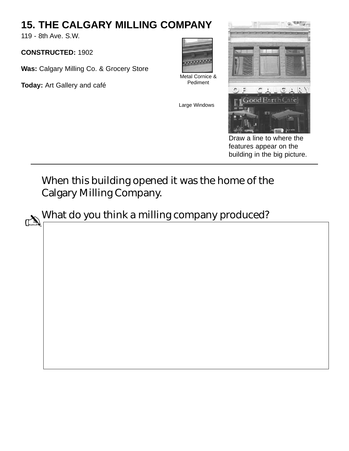#### **15. THE CALGARY MILLING COMPANY**

119 - 8th Ave. S.W.

**CONSTRUCTED:** 1902

**Was:** Calgary Milling Co. & Grocery Store

**Today:** Art Gallery and café



Large Windows

Pediment



Draw a line to where the features appear on the building in the big picture.

## When this building opened it was the home of the Calgary Milling Company.

What do you think a milling company produced?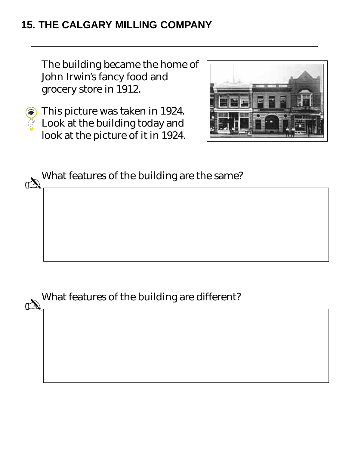#### **15. THE CALGARY MILLING COMPANY**

The building became the home of John Irwin's fancy food and grocery store in 1912.

This picture was taken in 1924. Look at the building today and look at the picture of it in 1924.



What features of the building are the same?

What features of the building are different?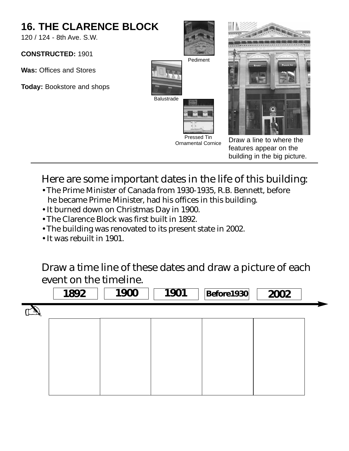

#### Here are some important dates in the life of this building:

- The Prime Minister of Canada from 1930-1935, R.B. Bennett, before he became Prime Minister, had his offices in this building.
- It burned down on Christmas Day in 1900.
- The Clarence Block was first built in 1892.
- The building was renovated to its present state in 2002.
- It was rebuilt in 1901.

Draw a time line of these dates and draw a picture of each event on the timeline.

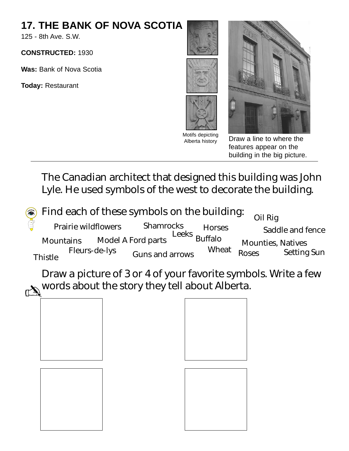## **17. THE BANK OF NOVA SCOTIA**

125 - 8th Ave. S.W.

**CONSTRUCTED:** 1930

**Was:** Bank of Nova Scotia

**Today:** Restaurant



Draw a line to where the features appear on the building in the big picture.

The Canadian architect that designed this building was John Lyle. He used symbols of the west to decorate the building.

|                    | (a) Find each of these symbols on the building: |                           | Oil Rig        |                          |                    |
|--------------------|-------------------------------------------------|---------------------------|----------------|--------------------------|--------------------|
| $\hat{\mathbb{G}}$ | <b>Prairie wildflowers</b>                      | <b>Shamrocks</b><br>Leeks | <b>Horses</b>  |                          | Saddle and fence   |
|                    | <b>Mountains</b>                                | <b>Model A Ford parts</b> | <b>Buffalo</b> | <b>Mounties, Natives</b> |                    |
|                    | <b>Fleurs-de-lys</b><br><b>Thistle</b>          | <b>Guns and arrows</b>    | <b>Wheat</b>   | <b>Roses</b>             | <b>Setting Sun</b> |

Draw a picture of 3 or 4 of your favorite symbols. Write a few words about the story they tell about Alberta.

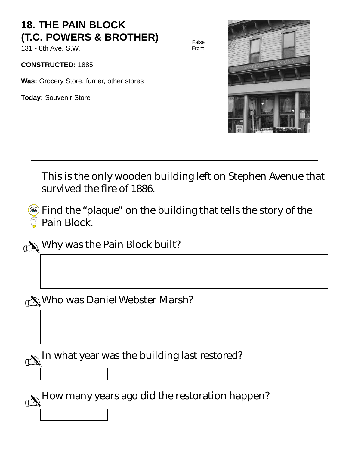#### **18. THE PAIN BLOCK (T.C. POWERS & BROTHER)**

131 - 8th Ave. S.W.

**CONSTRUCTED:** 1885

**Was:** Grocery Store, furrier, other stores

**Today:** Souvenir Store



This is the only wooden building left on Stephen Avenue that survived the fire of 1886.

False Front

 $\hat{\bullet}$  Find the "plaque" on the building that tells the story of the Pain Block.

✍Why was the Pain Block built?

Who was Daniel Webster Marsh? ✍

 $\mathbb{M}^{\mathbb{N}}$ In what year was the building last restored?

 $\mathbb{M}^{\mathbb{N}}$  How many years ago did the restoration happen?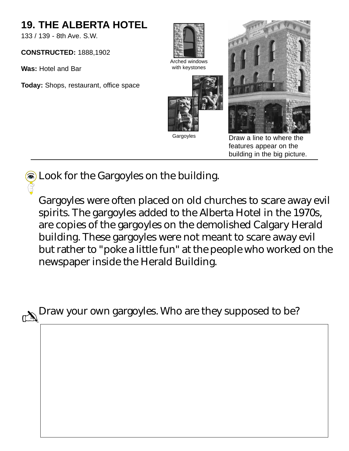#### **19. THE ALBERTA HOTEL**

133 / 139 - 8th Ave. S.W.

**CONSTRUCTED:** 1888,1902

**Was:** Hotel and Bar

**Today:** Shops, restaurant, office space



Arched windows with keystones







Draw a line to where the features appear on the building in the big picture.

S Look for the Gargoyles on the building.

Gargoyles were often placed on old churches to scare away evil spirits. The gargoyles added to the Alberta Hotel in the 1970s, are copies of the gargoyles on the demolished Calgary Herald building. These gargoyles were not meant to scare away evil but rather to "poke a little fun" at the people who worked on the newspaper inside the Herald Building.

 $\mathbb{C}\backslash\mathbb{C}^n$  Draw your own gargoyles. Who are they supposed to be?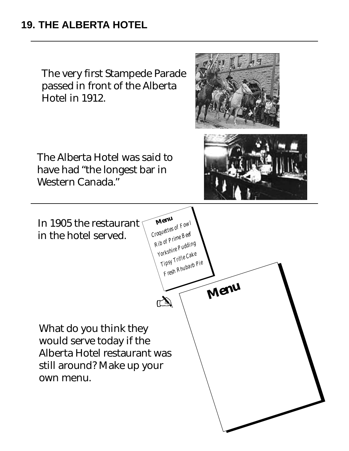#### **19. THE ALBERTA HOTEL**

The very first Stampede Parade passed in front of the Alberta Hotel in 1912.

The Alberta Hotel was said to have had "the longest bar in Western Canada."





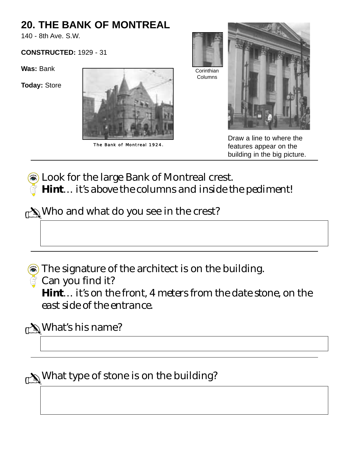#### **20. THE BANK OF MONTREAL**

140 - 8th Ave. S.W.

#### **CONSTRUCTED:** 1929 - 31

**Was:** Bank

**Today:** Store



The Bank of Montreal 1924.



Draw a line to where the features appear on the building in the big picture.

**a** Look for the large Bank of Montreal crest. *Hint… it's above the columns and inside the pediment!*

 $\mathbb{C}\backslash\mathbb{C}$  Who and what do you see in the crest?

The signature of the architect is on the building.

Can you find it?

*Hint… it's on the front, 4 meters from the date stone, on the east side of the entrance.*

**A**What's his name?

 $\mathbb{C}\backslash\mathbb{C}$  What type of stone is on the building?